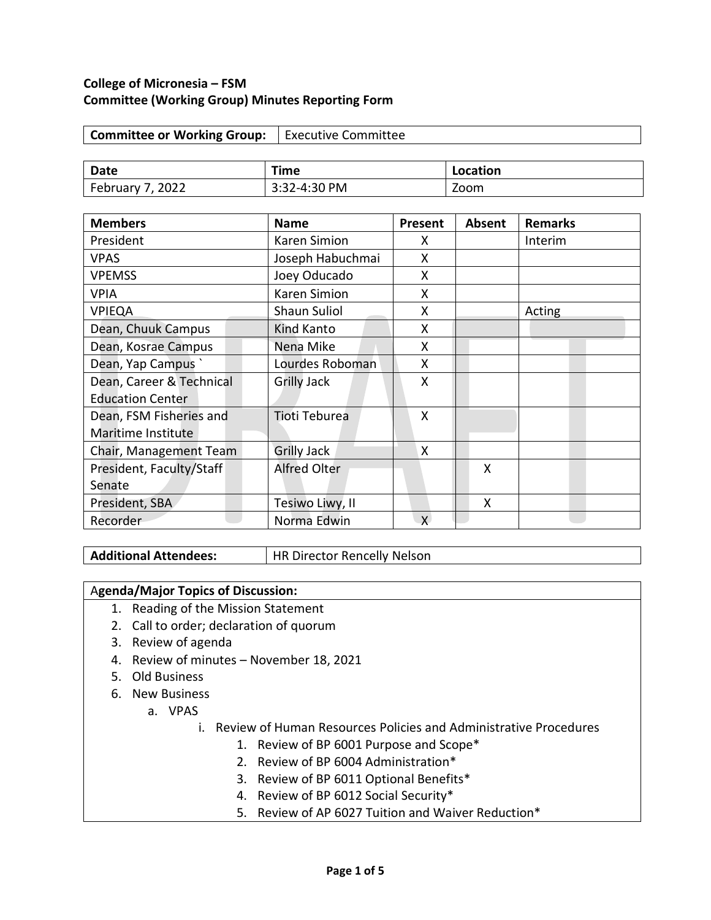#### **College of Micronesia – FSM Committee (Working Group) Minutes Reporting Form**

| Committee or Working Group:   Executive Committee |
|---------------------------------------------------|
|---------------------------------------------------|

| Date               | Time         | Location |
|--------------------|--------------|----------|
| February 7<br>2022 | 3:32-4:30 PM | Zoom     |

| <b>Members</b>           | <b>Name</b>         | Present | <b>Absent</b> | <b>Remarks</b> |
|--------------------------|---------------------|---------|---------------|----------------|
| President                | Karen Simion        | x       |               | Interim        |
| <b>VPAS</b>              | Joseph Habuchmai    | X       |               |                |
| <b>VPEMSS</b>            | Joey Oducado        | X       |               |                |
| <b>VPIA</b>              | Karen Simion        | X       |               |                |
| <b>VPIEQA</b>            | <b>Shaun Suliol</b> | X       |               | Acting         |
| Dean, Chuuk Campus       | <b>Kind Kanto</b>   | X       |               |                |
| Dean, Kosrae Campus      | Nena Mike           | X       |               |                |
| Dean, Yap Campus         | Lourdes Roboman     | X       |               |                |
| Dean, Career & Technical | <b>Grilly Jack</b>  | X       |               |                |
| <b>Education Center</b>  |                     |         |               |                |
| Dean, FSM Fisheries and  | Tioti Teburea       | X       |               |                |
| Maritime Institute       |                     |         |               |                |
| Chair, Management Team   | <b>Grilly Jack</b>  | X       |               |                |
| President, Faculty/Staff | <b>Alfred Olter</b> |         | X             |                |
| Senate                   |                     |         |               |                |
| President, SBA           | Tesiwo Liwy, II     |         | X             |                |
| Recorder                 | Norma Edwin         | $\chi$  |               |                |

**Additional Attendees:** HR Director Rencelly Nelson

# A**genda/Major Topics of Discussion:**

- 1. Reading of the Mission Statement
- 2. Call to order; declaration of quorum
- 3. Review of agenda
- 4. Review of minutes November 18, 2021
- 5. Old Business
- 6. New Business
	- a. VPAS
		- i. Review of Human Resources Policies and Administrative Procedures
			- 1. Review of BP 6001 Purpose and Scope\*
			- 2. Review of BP 6004 Administration\*
			- 3. Review of BP 6011 Optional Benefits\*
			- 4. Review of BP 6012 Social Security\*
			- 5. Review of AP 6027 Tuition and Waiver Reduction\*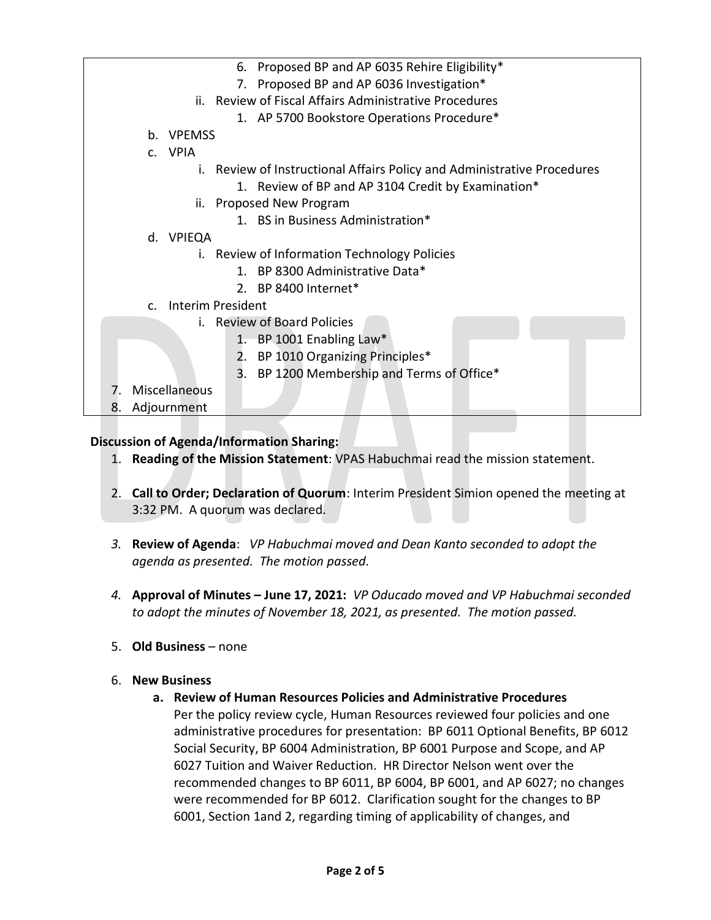| Proposed BP and AP 6035 Rehire Eligibility*<br>6.                       |  |
|-------------------------------------------------------------------------|--|
| 7. Proposed BP and AP 6036 Investigation*                               |  |
| ii. Review of Fiscal Affairs Administrative Procedures                  |  |
| 1. AP 5700 Bookstore Operations Procedure*                              |  |
| b. VPEMSS                                                               |  |
| c. VPIA                                                                 |  |
| i. Review of Instructional Affairs Policy and Administrative Procedures |  |
| 1. Review of BP and AP 3104 Credit by Examination*                      |  |
| ii. Proposed New Program                                                |  |
| 1. BS in Business Administration*                                       |  |
| d. VPIEQA                                                               |  |
| i. Review of Information Technology Policies                            |  |
| BP 8300 Administrative Data*<br>$1_{-}$                                 |  |
| 2. BP 8400 Internet*                                                    |  |
| c. Interim President                                                    |  |
| i. Review of Board Policies                                             |  |
| 1. BP 1001 Enabling Law*                                                |  |
| 2. BP 1010 Organizing Principles*                                       |  |
| BP 1200 Membership and Terms of Office*<br>3.                           |  |
| Miscellaneous<br>7.                                                     |  |
| Adjournment<br>8.                                                       |  |
|                                                                         |  |
|                                                                         |  |

### **Discussion of Agenda/Information Sharing:**

- 1. **Reading of the Mission Statement**: VPAS Habuchmai read the mission statement.
- 2. **Call to Order; Declaration of Quorum**: Interim President Simion opened the meeting at 3:32 PM. A quorum was declared.
- *3.* **Review of Agenda**: *VP Habuchmai moved and Dean Kanto seconded to adopt the agenda as presented. The motion passed.*
- *4.* **Approval of Minutes – June 17, 2021:** *VP Oducado moved and VP Habuchmai seconded to adopt the minutes of November 18, 2021, as presented. The motion passed.*
- 5. **Old Business**  none
- 6. **New Business**
	- **a. Review of Human Resources Policies and Administrative Procedures**

Per the policy review cycle, Human Resources reviewed four policies and one administrative procedures for presentation: BP 6011 Optional Benefits, BP 6012 Social Security, BP 6004 Administration, BP 6001 Purpose and Scope, and AP 6027 Tuition and Waiver Reduction. HR Director Nelson went over the recommended changes to BP 6011, BP 6004, BP 6001, and AP 6027; no changes were recommended for BP 6012. Clarification sought for the changes to BP 6001, Section 1and 2, regarding timing of applicability of changes, and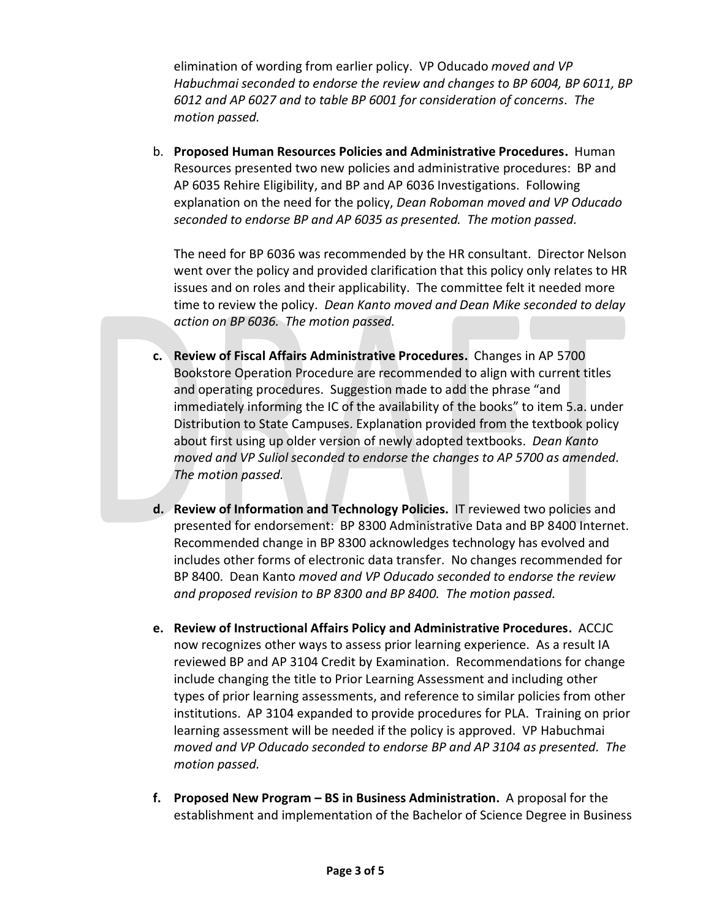elimination of wording from earlier policy. VP Oducado *moved and VP Habuchmai seconded to endorse the review and changes to BP 6004, BP 6011, BP 6012 and AP 6027 and to table BP 6001 for consideration of concerns. The motion passed.*

b. **Proposed Human Resources Policies and Administrative Procedures.** Human Resources presented two new policies and administrative procedures: BP and AP 6035 Rehire Eligibility, and BP and AP 6036 Investigations. Following explanation on the need for the policy, *Dean Roboman moved and VP Oducado seconded to endorse BP and AP 6035 as presented. The motion passed.*

The need for BP 6036 was recommended by the HR consultant. Director Nelson went over the policy and provided clarification that this policy only relates to HR issues and on roles and their applicability. The committee felt it needed more time to review the policy. *Dean Kanto moved and Dean Mike seconded to delay action on BP 6036. The motion passed.*

- **c. Review of Fiscal Affairs Administrative Procedures.** Changes in AP 5700 Bookstore Operation Procedure are recommended to align with current titles and operating procedures. Suggestion made to add the phrase "and immediately informing the IC of the availability of the books" to item 5.a. under Distribution to State Campuses. Explanation provided from the textbook policy about first using up older version of newly adopted textbooks. *Dean Kanto moved and VP Suliol seconded to endorse the changes to AP 5700 as amended. The motion passed.*
- **d. Review of Information and Technology Policies.** IT reviewed two policies and presented for endorsement: BP 8300 Administrative Data and BP 8400 Internet. Recommended change in BP 8300 acknowledges technology has evolved and includes other forms of electronic data transfer. No changes recommended for BP 8400. Dean Kanto *moved and VP Oducado seconded to endorse the review and proposed revision to BP 8300 and BP 8400. The motion passed.*
- **e. Review of Instructional Affairs Policy and Administrative Procedures.** ACCJC now recognizes other ways to assess prior learning experience. As a result IA reviewed BP and AP 3104 Credit by Examination. Recommendations for change include changing the title to Prior Learning Assessment and including other types of prior learning assessments, and reference to similar policies from other institutions. AP 3104 expanded to provide procedures for PLA. Training on prior learning assessment will be needed if the policy is approved. VP Habuchmai *moved and VP Oducado seconded to endorse BP and AP 3104 as presented. The motion passed.*
- **f. Proposed New Program – BS in Business Administration.** A proposal for the establishment and implementation of the Bachelor of Science Degree in Business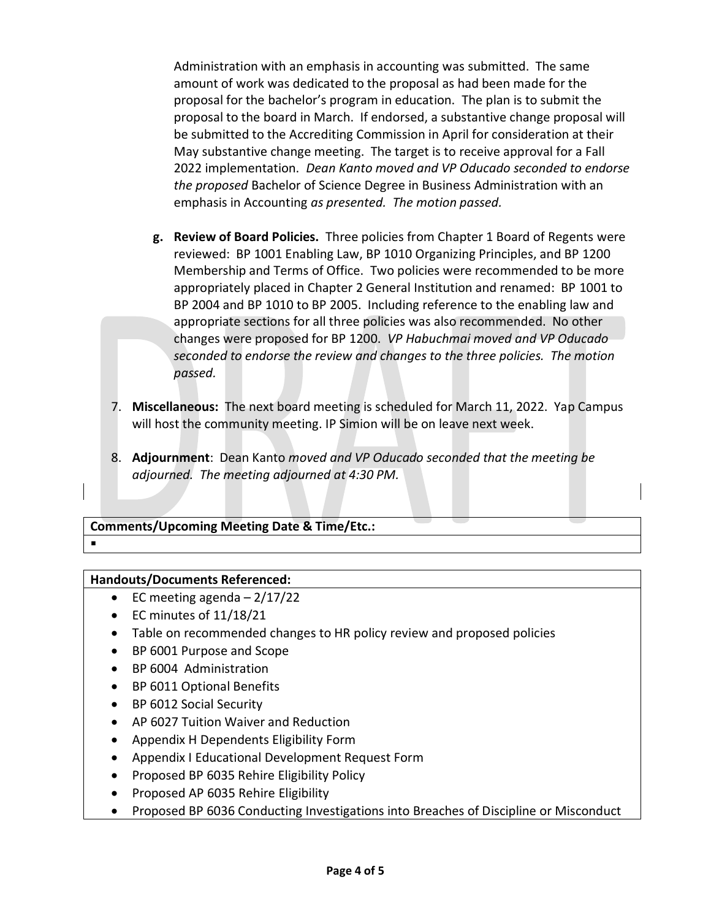Administration with an emphasis in accounting was submitted. The same amount of work was dedicated to the proposal as had been made for the proposal for the bachelor's program in education.The plan is to submit the proposal to the board in March. If endorsed, a substantive change proposal will be submitted to the Accrediting Commission in April for consideration at their May substantive change meeting. The target is to receive approval for a Fall 2022 implementation. *Dean Kanto moved and VP Oducado seconded to endorse the proposed* Bachelor of Science Degree in Business Administration with an emphasis in Accounting *as presented. The motion passed.*

- **g. Review of Board Policies.** Three policies from Chapter 1 Board of Regents were reviewed: BP 1001 Enabling Law, BP 1010 Organizing Principles, and BP 1200 Membership and Terms of Office. Two policies were recommended to be more appropriately placed in Chapter 2 General Institution and renamed: BP 1001 to BP 2004 and BP 1010 to BP 2005. Including reference to the enabling law and appropriate sections for all three policies was also recommended. No other changes were proposed for BP 1200. *VP Habuchmai moved and VP Oducado seconded to endorse the review and changes to the three policies. The motion passed.*
- 7. **Miscellaneous:** The next board meeting is scheduled for March 11, 2022. Yap Campus will host the community meeting. IP Simion will be on leave next week.
- 8. **Adjournment**: Dean Kanto *moved and VP Oducado seconded that the meeting be adjourned. The meeting adjourned at 4:30 PM.*

## **Comments/Upcoming Meeting Date & Time/Etc.:**

 $\blacksquare$ 

## **Handouts/Documents Referenced:**

- EC meeting agenda  $-2/17/22$
- EC minutes of 11/18/21
- Table on recommended changes to HR policy review and proposed policies
- BP 6001 Purpose and Scope
- BP 6004 Administration
- BP 6011 Optional Benefits
- BP 6012 Social Security
- AP 6027 Tuition Waiver and Reduction
- Appendix H Dependents Eligibility Form
- Appendix I Educational Development Request Form
- Proposed BP 6035 Rehire Eligibility Policy
- Proposed AP 6035 Rehire Eligibility
- Proposed BP 6036 Conducting Investigations into Breaches of Discipline or Misconduct